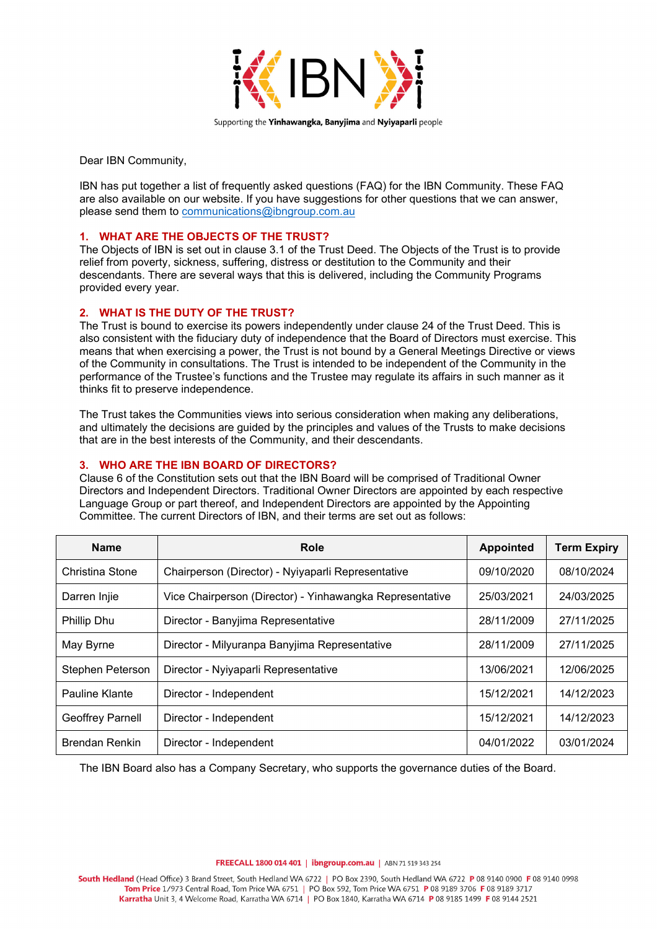

Dear IBN Community,

IBN has put together a list of frequently asked questions (FAQ) for the IBN Community. These FAQ are also available on our website. If you have suggestions for other questions that we can answer, please send them to [communications@ibngroup.com.au](mailto:communications@ibngroup.com.au) 

#### **1. WHAT ARE THE OBJECTS OF THE TRUST?**

The Objects of IBN is set out in clause 3.1 of the Trust Deed. The Objects of the Trust is to provide relief from poverty, sickness, suffering, distress or destitution to the Community and their descendants. There are several ways that this is delivered, including the Community Programs provided every year.

### **2. WHAT IS THE DUTY OF THE TRUST?**

The Trust is bound to exercise its powers independently under clause 24 of the Trust Deed. This is also consistent with the fiduciary duty of independence that the Board of Directors must exercise. This means that when exercising a power, the Trust is not bound by a General Meetings Directive or views of the Community in consultations. The Trust is intended to be independent of the Community in the performance of the Trustee's functions and the Trustee may regulate its affairs in such manner as it thinks fit to preserve independence.

The Trust takes the Communities views into serious consideration when making any deliberations, and ultimately the decisions are guided by the principles and values of the Trusts to make decisions that are in the best interests of the Community, and their descendants.

### **3. WHO ARE THE IBN BOARD OF DIRECTORS?**

Clause 6 of the Constitution sets out that the IBN Board will be comprised of Traditional Owner Directors and Independent Directors. Traditional Owner Directors are appointed by each respective Language Group or part thereof, and Independent Directors are appointed by the Appointing Committee. The current Directors of IBN, and their terms are set out as follows:

| <b>Name</b>             | Role                                                     | <b>Appointed</b> | <b>Term Expiry</b> |
|-------------------------|----------------------------------------------------------|------------------|--------------------|
| Christina Stone         | Chairperson (Director) - Nyiyaparli Representative       | 09/10/2020       | 08/10/2024         |
| Darren Injie            | Vice Chairperson (Director) - Yinhawangka Representative | 25/03/2021       | 24/03/2025         |
| <b>Phillip Dhu</b>      | Director - Banyjima Representative                       | 28/11/2009       | 27/11/2025         |
| May Byrne               | Director - Milyuranpa Banyjima Representative            | 28/11/2009       | 27/11/2025         |
| Stephen Peterson        | Director - Nyiyaparli Representative                     | 13/06/2021       | 12/06/2025         |
| Pauline Klante          | Director - Independent                                   | 15/12/2021       | 14/12/2023         |
| <b>Geoffrey Parnell</b> | Director - Independent                                   | 15/12/2021       | 14/12/2023         |
| <b>Brendan Renkin</b>   | Director - Independent                                   | 04/01/2022       | 03/01/2024         |

The IBN Board also has a Company Secretary, who supports the governance duties of the Board.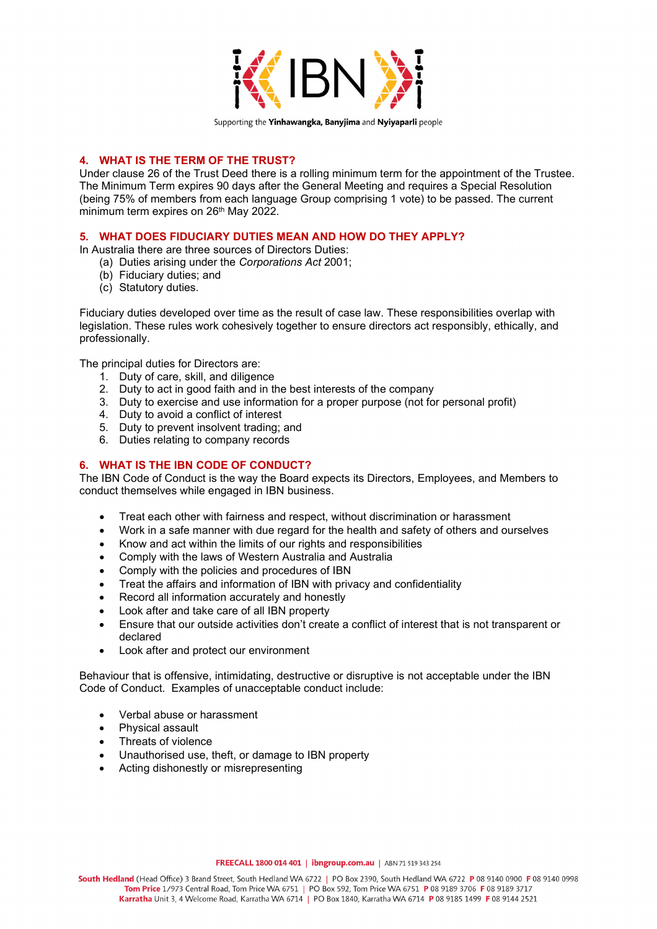

```
Supporting the Yinhawangka, Banyjima and Nyiyaparli people
```
## **4. WHAT IS THE TERM OF THE TRUST?**

Under clause 26 of the Trust Deed there is a rolling minimum term for the appointment of the Trustee. The Minimum Term expires 90 days after the General Meeting and requires a Special Resolution (being 75% of members from each language Group comprising 1 vote) to be passed. The current minimum term expires on 26<sup>th</sup> May 2022.

## **5. WHAT DOES FIDUCIARY DUTIES MEAN AND HOW DO THEY APPLY?**

In Australia there are three sources of Directors Duties:

- (a) Duties arising under the *Corporations Act* 2001;
- (b) Fiduciary duties; and
- (c) Statutory duties.

Fiduciary duties developed over time as the result of case law. These responsibilities overlap with legislation. These rules work cohesively together to ensure directors act responsibly, ethically, and professionally.

The principal duties for Directors are:

- 1. Duty of care, skill, and diligence
- 2. Duty to act in good faith and in the best interests of the company
- 3. Duty to exercise and use information for a proper purpose (not for personal profit)
- 4. Duty to avoid a conflict of interest
- 5. Duty to prevent insolvent trading; and
- 6. Duties relating to company records

## **6. WHAT IS THE IBN CODE OF CONDUCT?**

The IBN Code of Conduct is the way the Board expects its Directors, Employees, and Members to conduct themselves while engaged in IBN business.

- Treat each other with fairness and respect, without discrimination or harassment
- Work in a safe manner with due regard for the health and safety of others and ourselves
- Know and act within the limits of our rights and responsibilities
- Comply with the laws of Western Australia and Australia
- Comply with the policies and procedures of IBN
- Treat the affairs and information of IBN with privacy and confidentiality
- Record all information accurately and honestly
- Look after and take care of all IBN property
- Ensure that our outside activities don't create a conflict of interest that is not transparent or declared
- Look after and protect our environment

Behaviour that is offensive, intimidating, destructive or disruptive is not acceptable under the IBN Code of Conduct. Examples of unacceptable conduct include:

- Verbal abuse or harassment
- Physical assault
- Threats of violence
- Unauthorised use, theft, or damage to IBN property
- Acting dishonestly or misrepresenting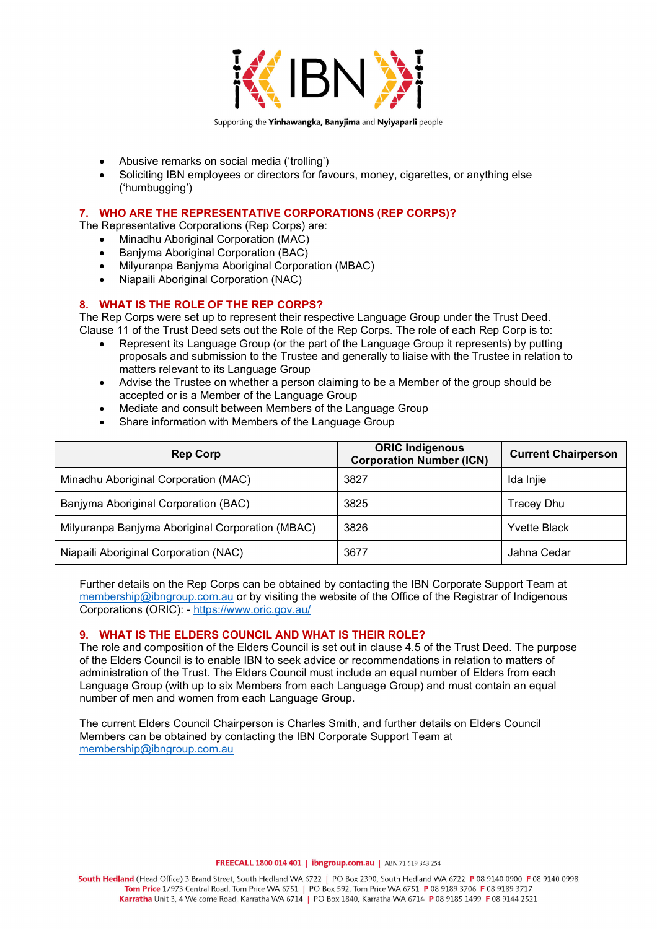

- Abusive remarks on social media ('trolling')
- Soliciting IBN employees or directors for favours, money, cigarettes, or anything else ('humbugging')

### **7. WHO ARE THE REPRESENTATIVE CORPORATIONS (REP CORPS)?**

The Representative Corporations (Rep Corps) are:

- Minadhu Aboriginal Corporation (MAC)
- Banjyma Aboriginal Corporation (BAC)
- Milyuranpa Banjyma Aboriginal Corporation (MBAC)
- Niapaili Aboriginal Corporation (NAC)

#### **8. WHAT IS THE ROLE OF THE REP CORPS?**

The Rep Corps were set up to represent their respective Language Group under the Trust Deed. Clause 11 of the Trust Deed sets out the Role of the Rep Corps. The role of each Rep Corp is to:

- Represent its Language Group (or the part of the Language Group it represents) by putting proposals and submission to the Trustee and generally to liaise with the Trustee in relation to matters relevant to its Language Group
- Advise the Trustee on whether a person claiming to be a Member of the group should be accepted or is a Member of the Language Group
- Mediate and consult between Members of the Language Group
- Share information with Members of the Language Group

| <b>Rep Corp</b>                                  | <b>ORIC Indigenous</b><br><b>Corporation Number (ICN)</b> | <b>Current Chairperson</b> |
|--------------------------------------------------|-----------------------------------------------------------|----------------------------|
| Minadhu Aboriginal Corporation (MAC)             | 3827                                                      | Ida Injie                  |
| Banjyma Aboriginal Corporation (BAC)             | 3825                                                      | <b>Tracey Dhu</b>          |
| Milyuranpa Banjyma Aboriginal Corporation (MBAC) | 3826                                                      | <b>Yvette Black</b>        |
| Niapaili Aboriginal Corporation (NAC)            | 3677                                                      | Jahna Cedar                |

Further details on the Rep Corps can be obtained by contacting the IBN Corporate Support Team at [membership@ibngroup.com.au](mailto:membership@ibngroup.com.au) or by visiting the website of the Office of the Registrar of Indigenous Corporations (ORIC): -<https://www.oric.gov.au/>

### **9. WHAT IS THE ELDERS COUNCIL AND WHAT IS THEIR ROLE?**

The role and composition of the Elders Council is set out in clause 4.5 of the Trust Deed. The purpose of the Elders Council is to enable IBN to seek advice or recommendations in relation to matters of administration of the Trust. The Elders Council must include an equal number of Elders from each Language Group (with up to six Members from each Language Group) and must contain an equal number of men and women from each Language Group.

The current Elders Council Chairperson is Charles Smith, and further details on Elders Council Members can be obtained by contacting the IBN Corporate Support Team at [membership@ibngroup.com.au](mailto:membership@ibngroup.com.au)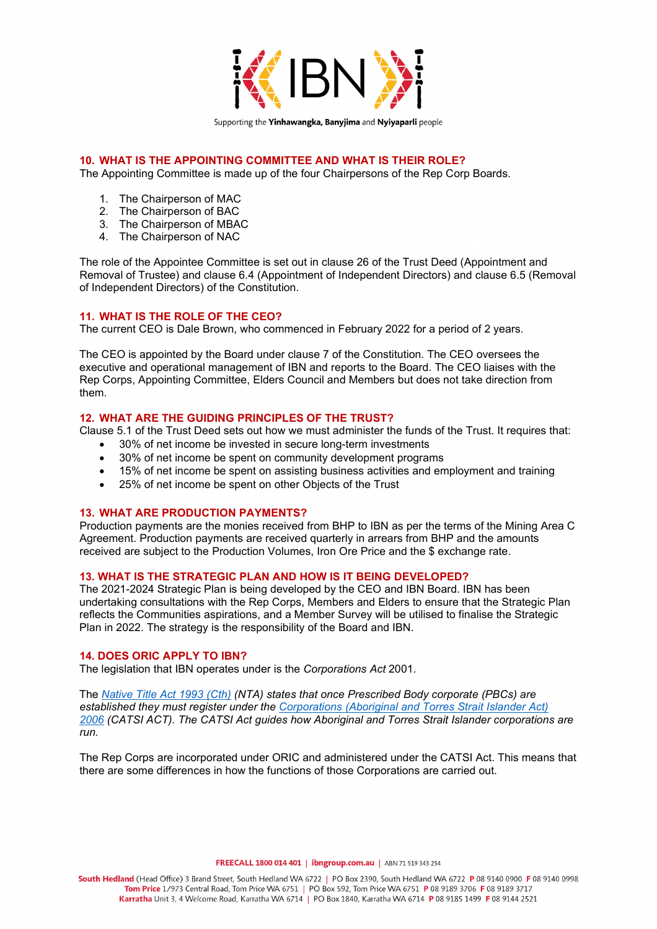

## **10. WHAT IS THE APPOINTING COMMITTEE AND WHAT IS THEIR ROLE?**

The Appointing Committee is made up of the four Chairpersons of the Rep Corp Boards.

- 1. The Chairperson of MAC
- 2. The Chairperson of BAC
- 3. The Chairperson of MBAC
- 4. The Chairperson of NAC

The role of the Appointee Committee is set out in clause 26 of the Trust Deed (Appointment and Removal of Trustee) and clause 6.4 (Appointment of Independent Directors) and clause 6.5 (Removal of Independent Directors) of the Constitution.

## **11. WHAT IS THE ROLE OF THE CEO?**

The current CEO is Dale Brown, who commenced in February 2022 for a period of 2 years.

The CEO is appointed by the Board under clause 7 of the Constitution. The CEO oversees the executive and operational management of IBN and reports to the Board. The CEO liaises with the Rep Corps, Appointing Committee, Elders Council and Members but does not take direction from them.

#### **12. WHAT ARE THE GUIDING PRINCIPLES OF THE TRUST?**

Clause 5.1 of the Trust Deed sets out how we must administer the funds of the Trust. It requires that:

- 30% of net income be invested in secure long-term investments
- 30% of net income be spent on community development programs
- 15% of net income be spent on assisting business activities and employment and training
- 25% of net income be spent on other Objects of the Trust

#### **13. WHAT ARE PRODUCTION PAYMENTS?**

Production payments are the monies received from BHP to IBN as per the terms of the Mining Area C Agreement. Production payments are received quarterly in arrears from BHP and the amounts received are subject to the Production Volumes, Iron Ore Price and the \$ exchange rate.

#### **13. WHAT IS THE STRATEGIC PLAN AND HOW IS IT BEING DEVELOPED?**

The 2021-2024 Strategic Plan is being developed by the CEO and IBN Board. IBN has been undertaking consultations with the Rep Corps, Members and Elders to ensure that the Strategic Plan reflects the Communities aspirations, and a Member Survey will be utilised to finalise the Strategic Plan in 2022. The strategy is the responsibility of the Board and IBN.

#### **14. DOES ORIC APPLY TO IBN?**

The legislation that IBN operates under is the *Corporations Act* 2001.

The *[Native Title Act 1993](http://www8.austlii.edu.au/cgi-bin/viewdb/au/legis/cth/consol_act/nta1993147/) (Cth) (NTA) states that once Prescribed Body corporate (PBCs) are established they must register under the [Corporations \(Aboriginal and Torres Strait Islander Act\)](http://www8.austlii.edu.au/cgi-bin/viewdb/au/legis/cth/num_act/catsia2006510/)  [2006](http://www8.austlii.edu.au/cgi-bin/viewdb/au/legis/cth/num_act/catsia2006510/) (CATSI ACT). The CATSI Act guides how Aboriginal and Torres Strait Islander corporations are run.* 

The Rep Corps are incorporated under ORIC and administered under the CATSI Act. This means that there are some differences in how the functions of those Corporations are carried out.

FREECALL 1800 014 401 | ibngroup.com.au | ABN 71 519 343 254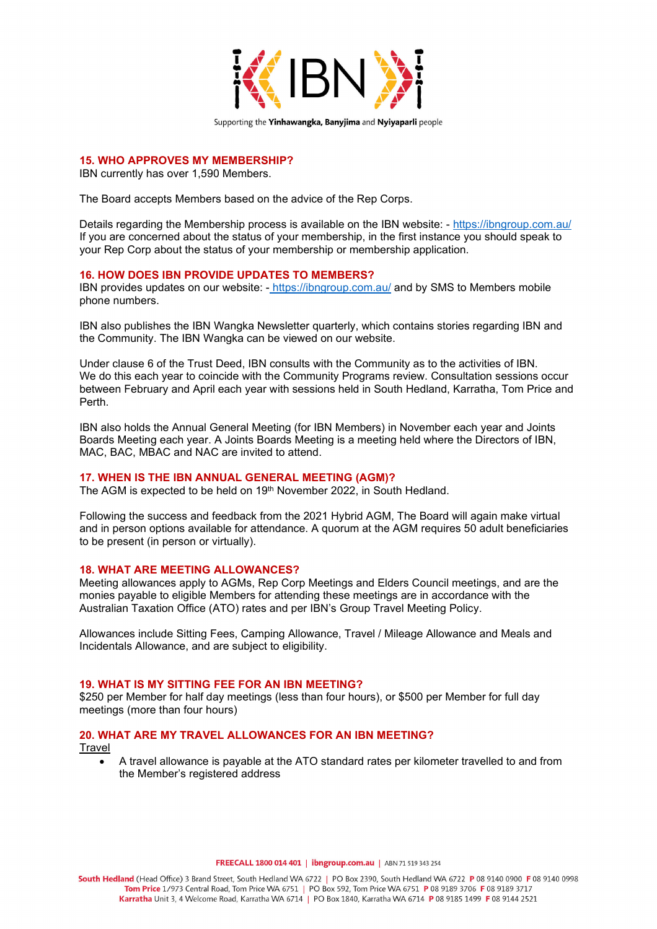

```
Supporting the Yinhawangka, Banyjima and Nyiyaparli people
```
## **15. WHO APPROVES MY MEMBERSHIP?**

IBN currently has over 1,590 Members.

The Board accepts Members based on the advice of the Rep Corps.

Details regarding the Membership process is available on the IBN website: -<https://ibngroup.com.au/> If you are concerned about the status of your membership, in the first instance you should speak to your Rep Corp about the status of your membership or membership application.

#### **16. HOW DOES IBN PROVIDE UPDATES TO MEMBERS?**

IBN provides updates on our website: - <https://ibngroup.com.au/> and by SMS to Members mobile phone numbers.

IBN also publishes the IBN Wangka Newsletter quarterly, which contains stories regarding IBN and the Community. The IBN Wangka can be viewed on our website.

Under clause 6 of the Trust Deed, IBN consults with the Community as to the activities of IBN. We do this each year to coincide with the Community Programs review. Consultation sessions occur between February and April each year with sessions held in South Hedland, Karratha, Tom Price and Perth.

IBN also holds the Annual General Meeting (for IBN Members) in November each year and Joints Boards Meeting each year. A Joints Boards Meeting is a meeting held where the Directors of IBN, MAC, BAC, MBAC and NAC are invited to attend.

### **17. WHEN IS THE IBN ANNUAL GENERAL MEETING (AGM)?**

The AGM is expected to be held on 19<sup>th</sup> November 2022, in South Hedland.

Following the success and feedback from the 2021 Hybrid AGM, The Board will again make virtual and in person options available for attendance. A quorum at the AGM requires 50 adult beneficiaries to be present (in person or virtually).

#### **18. WHAT ARE MEETING ALLOWANCES?**

Meeting allowances apply to AGMs, Rep Corp Meetings and Elders Council meetings, and are the monies payable to eligible Members for attending these meetings are in accordance with the Australian Taxation Office (ATO) rates and per IBN's Group Travel Meeting Policy.

Allowances include Sitting Fees, Camping Allowance, Travel / Mileage Allowance and Meals and Incidentals Allowance, and are subject to eligibility.

#### **19. WHAT IS MY SITTING FEE FOR AN IBN MEETING?**

\$250 per Member for half day meetings (less than four hours), or \$500 per Member for full day meetings (more than four hours)

# **20. WHAT ARE MY TRAVEL ALLOWANCES FOR AN IBN MEETING?**

Travel

• A travel allowance is payable at the ATO standard rates per kilometer travelled to and from the Member's registered address

FREECALL 1800 014 401 | ibngroup.com.au | ABN 71 519 343 254